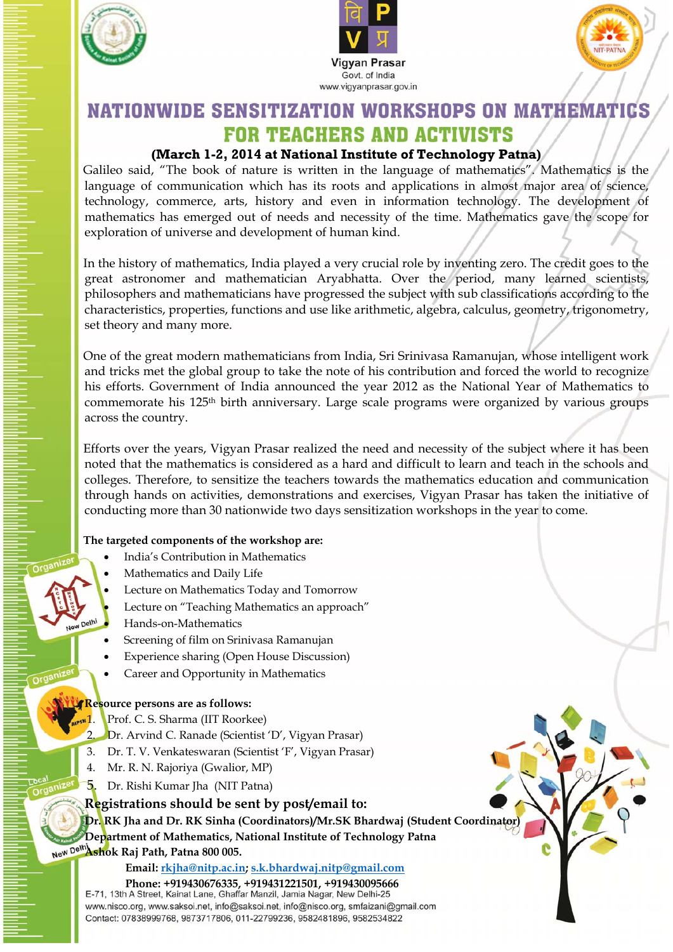





## **NATIONWIDE SENSITIZATION WORKSHOPS ON MATHEMATICS FOR TEACHERS AND ACTIVISTS**

### **(March 1-2, 2014 at National Institute of Technology Patna)**

Galileo said, "The book of nature is written in the language of mathematics". Mathematics is the language of communication which has its roots and applications in almost major area of science, technology, commerce, arts, history and even in information technology. The development of mathematics has emerged out of needs and necessity of the time. Mathematics gave the scope for exploration of universe and development of human kind.

In the history of mathematics, India played a very crucial role by inventing zero. The credit goes to the great astronomer and mathematician Aryabhatta. Over the period, many learned scientists, philosophers and mathematicians have progressed the subject with sub classifications according to the characteristics, properties, functions and use like arithmetic, algebra, calculus, geometry, trigonometry, set theory and many more.

One of the great modern mathematicians from India, Sri Srinivasa Ramanujan, whose intelligent work and tricks met the global group to take the note of his contribution and forced the world to recognize his efforts. Government of India announced the year 2012 as the National Year of Mathematics to commemorate his 125th birth anniversary. Large scale programs were organized by various groups across the country.

Efforts over the years, Vigyan Prasar realized the need and necessity of the subject where it has been noted that the mathematics is considered as a hard and difficult to learn and teach in the schools and colleges. Therefore, to sensitize the teachers towards the mathematics education and communication through hands on activities, demonstrations and exercises, Vigyan Prasar has taken the initiative of conducting more than 30 nationwide two days sensitization workshops in the year to come.

#### **The targeted components of the workshop are:**

- India's Contribution in Mathematics
- Mathematics and Daily Life
- Lecture on Mathematics Today and Tomorrow
	- Lecture on "Teaching Mathematics an approach"
- Hands-on-Mathematics
- Screening of film on Srinivasa Ramanujan
- Experience sharing (Open House Discussion)
- Career and Opportunity in Mathematics

#### **Resource persons are as follows:**

- Prof. C. S. Sharma (IIT Roorkee)
- 2. Dr. Arvind C. Ranade (Scientist 'D', Vigyan Prasar)
- 3. Dr. T. V. Venkateswaran (Scientist 'F', Vigyan Prasar)
- 4. Mr. R. N. Rajoriya (Gwalior, MP)
- 5. Dr. Rishi Kumar Jha (NIT Patna)

#### **Registrations should be sent by post/email to:**

**Dr. RK Jha and Dr. RK Sinha (Coordinators)/Mr.SK Bhardwaj (Student Coordinator) Department of Mathematics, National Institute of Technology Patna** 

**Ashok Raj Path, Patna 800 005.** 

#### **Email: rkjha@nitp.ac.in; s.k.bhardwaj.nitp@gmail.com**

**Phone: +919430676335, +919431221501, +919430095666** www.nisco.org, www.saksoi.net, info@saksoi.net, info@nisco.org, smfaizani@gmail.com Contact: 07838999768, 9873717806, 011-22799236, 9582481896, 9582534822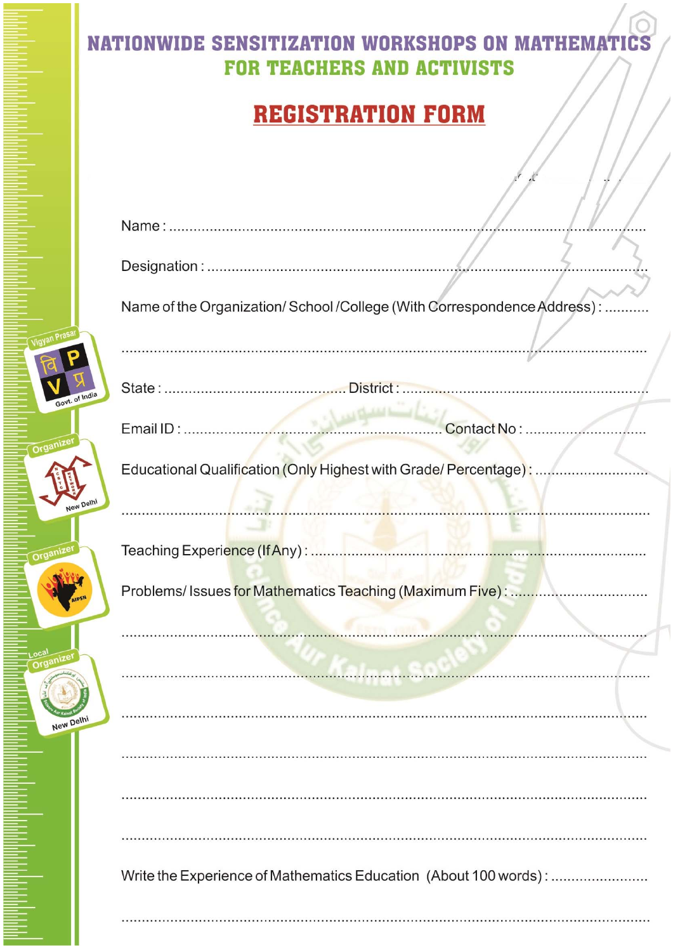## **NATIONWIDE SENSITIZATION WORKSHOPS ON MATHEMATICS FOR TEACHERS AND ACTIVISTS**

# **REGISTRATION FORM**

|              | Name of the Organization/School/College (With Correspondence Address): |
|--------------|------------------------------------------------------------------------|
|              |                                                                        |
| yt. of India |                                                                        |
|              |                                                                        |
|              | Educational Qualification (Only Highest with Grade/ Percentage):       |
| New Delhi    |                                                                        |
|              |                                                                        |
| AIPSN        |                                                                        |
|              | man and an annual communications of                                    |
|              |                                                                        |
| N Delhi      |                                                                        |
|              |                                                                        |
|              |                                                                        |
|              |                                                                        |
|              | Write the Experience of Mathematics Education (About 100 words):       |
|              |                                                                        |

 $O(9)$ 

N<sub>1</sub>